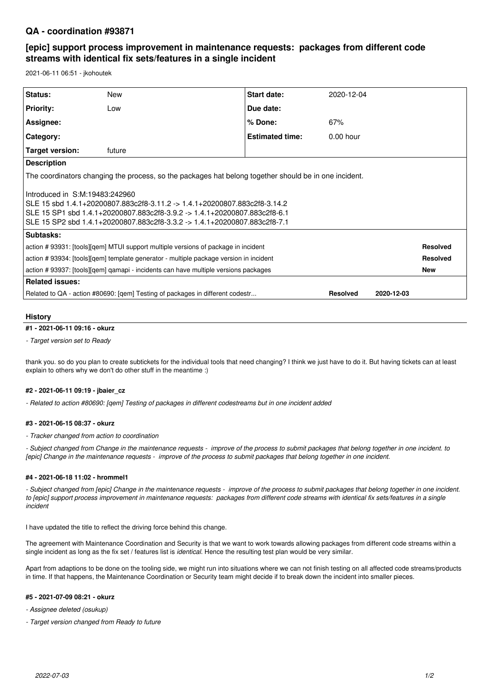## **QA - coordination #93871**

# **[epic] support process improvement in maintenance requests: packages from different code streams with identical fix sets/features in a single incident**

2021-06-11 06:51 - jkohoutek

| Status:                                                                                                                                                                                                                                                               | <b>New</b> | <b>Start date:</b>     | 2020-12-04  |            |                 |
|-----------------------------------------------------------------------------------------------------------------------------------------------------------------------------------------------------------------------------------------------------------------------|------------|------------------------|-------------|------------|-----------------|
| <b>Priority:</b>                                                                                                                                                                                                                                                      | Low        | Due date:              |             |            |                 |
| Assignee:                                                                                                                                                                                                                                                             |            | % Done:                | 67%         |            |                 |
| Category:                                                                                                                                                                                                                                                             |            | <b>Estimated time:</b> | $0.00$ hour |            |                 |
| Target version:                                                                                                                                                                                                                                                       | future     |                        |             |            |                 |
| <b>Description</b>                                                                                                                                                                                                                                                    |            |                        |             |            |                 |
| The coordinators changing the process, so the packages hat belong together should be in one incident.                                                                                                                                                                 |            |                        |             |            |                 |
| Introduced in S:M:19483:242960<br>SLE 15 sbd 1.4.1+20200807.883c2f8-3.11.2 -> 1.4.1+20200807.883c2f8-3.14.2<br>SLE 15 SP1 sbd 1.4.1+20200807.883c2f8-3.9.2 -> 1.4.1+20200807.883c2f8-6.1<br>SLE 15 SP2 sbd 1.4.1+20200807.883c2f8-3.3.2 -> 1.4.1+20200807.883c2f8-7.1 |            |                        |             |            |                 |
| Subtasks:                                                                                                                                                                                                                                                             |            |                        |             |            |                 |
| action #93931: [tools][gem] MTUI support multiple versions of package in incident                                                                                                                                                                                     |            |                        |             |            | <b>Resolved</b> |
| action #93934: [tools][gem] template generator - multiple package version in incident                                                                                                                                                                                 |            |                        |             |            | <b>Resolved</b> |
| action # 93937: [tools][gem] gamapi - incidents can have multiple versions packages                                                                                                                                                                                   |            |                        |             |            | <b>New</b>      |
| <b>Related issues:</b>                                                                                                                                                                                                                                                |            |                        |             |            |                 |
| Related to QA - action #80690: [gem] Testing of packages in different codestr<br><b>Resolved</b>                                                                                                                                                                      |            |                        |             | 2020-12-03 |                 |
|                                                                                                                                                                                                                                                                       |            |                        |             |            |                 |

### **History**

### **#1 - 2021-06-11 09:16 - okurz**

*- Target version set to Ready*

thank you. so do you plan to create subtickets for the individual tools that need changing? I think we just have to do it. But having tickets can at least explain to others why we don't do other stuff in the meantime :)

#### **#2 - 2021-06-11 09:19 - jbaier\_cz**

*- Related to action #80690: [qem] Testing of packages in different codestreams but in one incident added*

#### **#3 - 2021-06-15 08:37 - okurz**

*- Tracker changed from action to coordination*

*- Subject changed from Change in the maintenance requests - improve of the process to submit packages that belong together in one incident. to [epic] Change in the maintenance requests - improve of the process to submit packages that belong together in one incident.*

#### **#4 - 2021-06-18 11:02 - hrommel1**

*- Subject changed from [epic] Change in the maintenance requests - improve of the process to submit packages that belong together in one incident. to [epic] support process improvement in maintenance requests: packages from different code streams with identical fix sets/features in a single incident*

I have updated the title to reflect the driving force behind this change.

The agreement with Maintenance Coordination and Security is that we want to work towards allowing packages from different code streams within a single incident as long as the fix set / features list is *identical*. Hence the resulting test plan would be very similar.

Apart from adaptions to be done on the tooling side, we might run into situations where we can not finish testing on all affected code streams/products in time. If that happens, the Maintenance Coordination or Security team might decide if to break down the incident into smaller pieces.

#### **#5 - 2021-07-09 08:21 - okurz**

*- Assignee deleted (osukup)*

*- Target version changed from Ready to future*